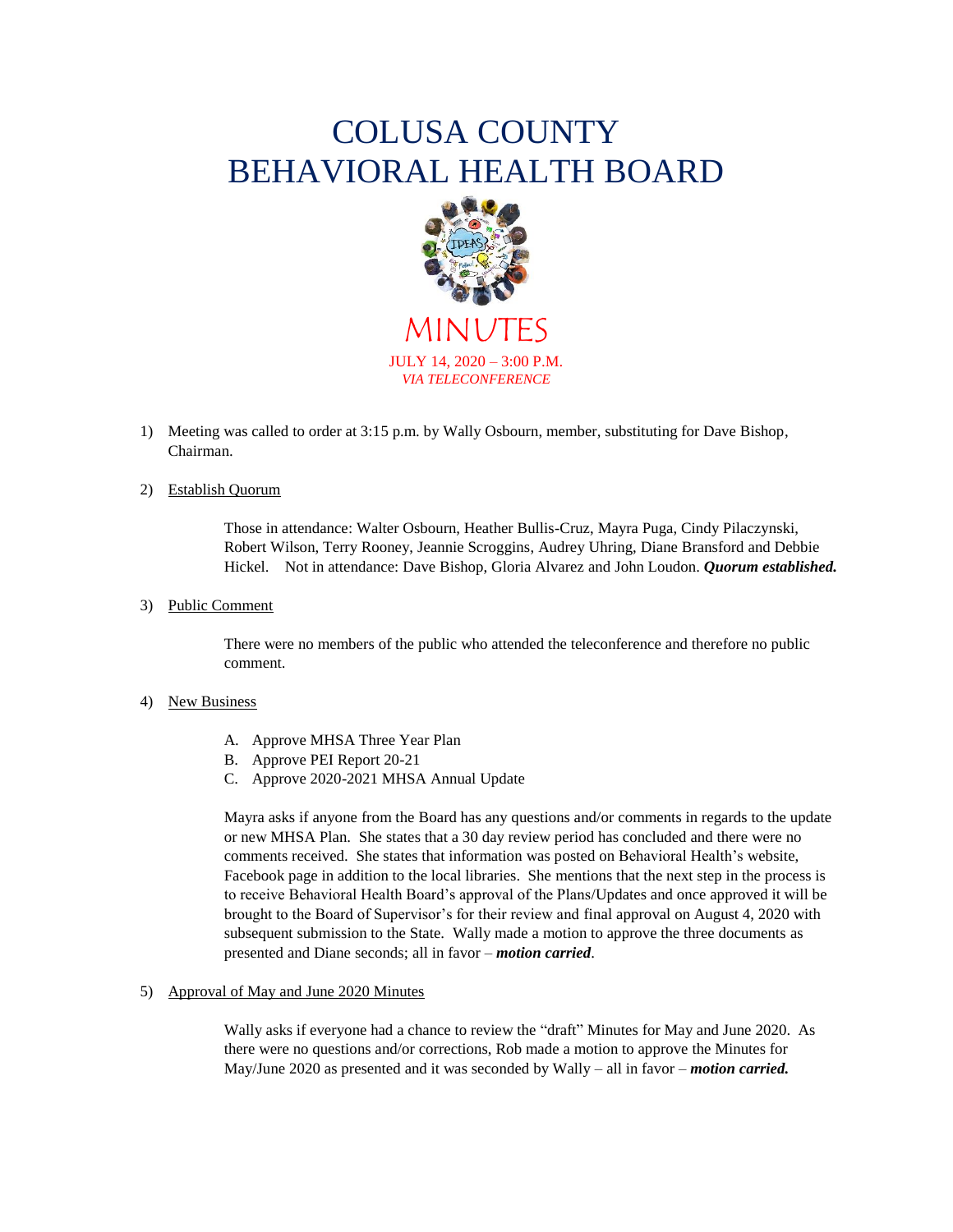# COLUSA COUNTY BEHAVIORAL HEALTH BOARD



MINUT JULY 14, 2020 – 3:00 P.M. *VIA TELECONFERENCE*

1) Meeting was called to order at 3:15 p.m. by Wally Osbourn, member, substituting for Dave Bishop, Chairman.

# 2) Establish Quorum

Those in attendance: Walter Osbourn, Heather Bullis-Cruz, Mayra Puga, Cindy Pilaczynski, Robert Wilson, Terry Rooney, Jeannie Scroggins, Audrey Uhring, Diane Bransford and Debbie Hickel. Not in attendance: Dave Bishop, Gloria Alvarez and John Loudon. *Quorum established.*

### 3) Public Comment

There were no members of the public who attended the teleconference and therefore no public comment.

### 4) New Business

- A. Approve MHSA Three Year Plan
- B. Approve PEI Report 20-21
- C. Approve 2020-2021 MHSA Annual Update

Mayra asks if anyone from the Board has any questions and/or comments in regards to the update or new MHSA Plan. She states that a 30 day review period has concluded and there were no comments received. She states that information was posted on Behavioral Health's website, Facebook page in addition to the local libraries. She mentions that the next step in the process is to receive Behavioral Health Board's approval of the Plans/Updates and once approved it will be brought to the Board of Supervisor's for their review and final approval on August 4, 2020 with subsequent submission to the State. Wally made a motion to approve the three documents as presented and Diane seconds; all in favor – *motion carried*.

5) Approval of May and June 2020 Minutes

Wally asks if everyone had a chance to review the "draft" Minutes for May and June 2020. As there were no questions and/or corrections, Rob made a motion to approve the Minutes for May/June 2020 as presented and it was seconded by Wally – all in favor – *motion carried.*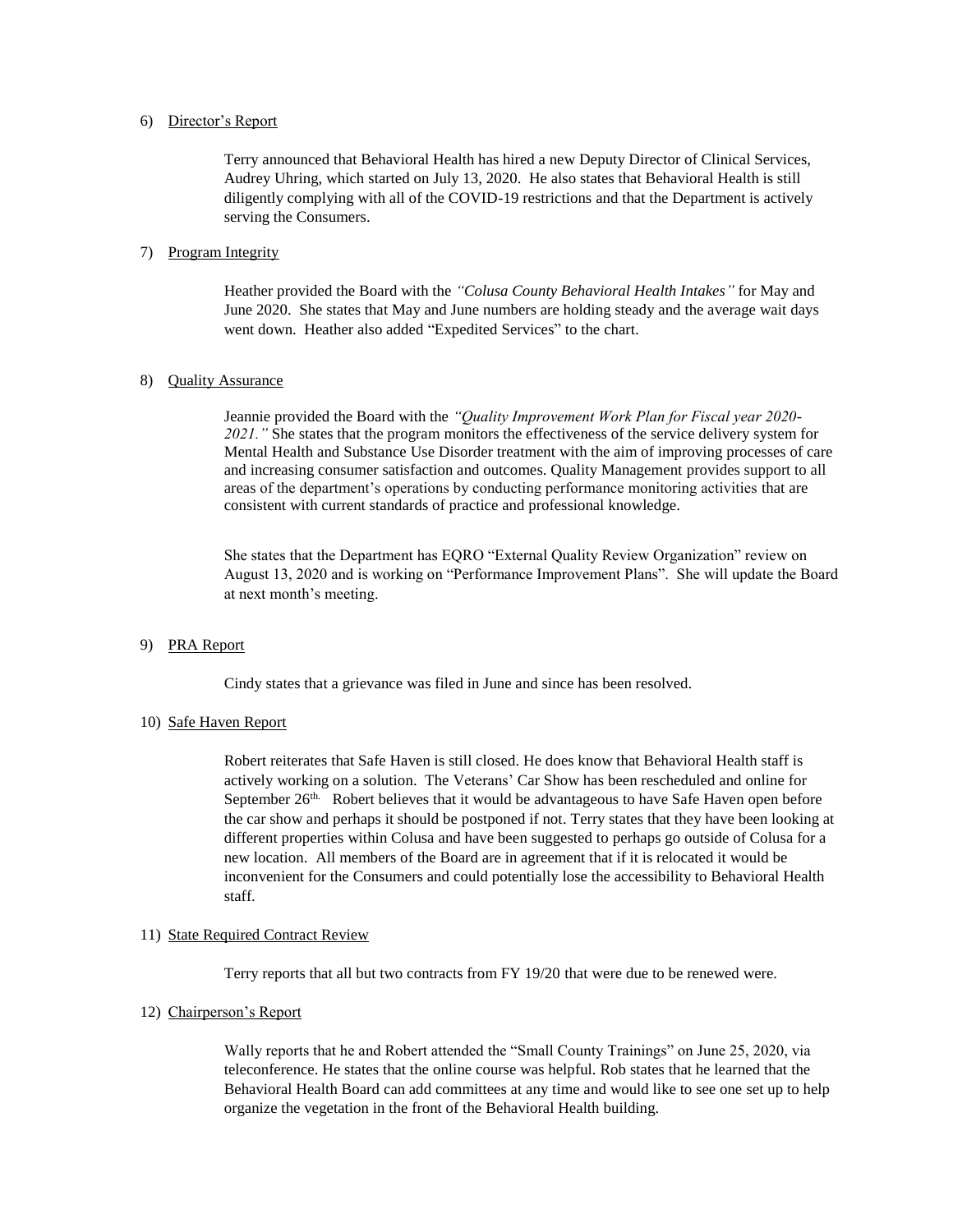## 6) Director's Report

Terry announced that Behavioral Health has hired a new Deputy Director of Clinical Services, Audrey Uhring, which started on July 13, 2020. He also states that Behavioral Health is still diligently complying with all of the COVID-19 restrictions and that the Department is actively serving the Consumers.

## 7) Program Integrity

Heather provided the Board with the *"Colusa County Behavioral Health Intakes"* for May and June 2020. She states that May and June numbers are holding steady and the average wait days went down. Heather also added "Expedited Services" to the chart.

## 8) Quality Assurance

Jeannie provided the Board with the *"Quality Improvement Work Plan for Fiscal year 2020-* 2021." She states that the program monitors the effectiveness of the service delivery system for Mental Health and Substance Use Disorder treatment with the aim of improving processes of care and increasing consumer satisfaction and outcomes. Quality Management provides support to all areas of the department's operations by conducting performance monitoring activities that are consistent with current standards of practice and professional knowledge.

She states that the Department has EQRO "External Quality Review Organization" review on August 13, 2020 and is working on "Performance Improvement Plans". She will update the Board at next month's meeting.

### 9) PRA Report

Cindy states that a grievance was filed in June and since has been resolved.

### 10) Safe Haven Report

Robert reiterates that Safe Haven is still closed. He does know that Behavioral Health staff is actively working on a solution. The Veterans' Car Show has been rescheduled and online for September  $26<sup>th</sup>$ . Robert believes that it would be advantageous to have Safe Haven open before the car show and perhaps it should be postponed if not. Terry states that they have been looking at different properties within Colusa and have been suggested to perhaps go outside of Colusa for a new location. All members of the Board are in agreement that if it is relocated it would be inconvenient for the Consumers and could potentially lose the accessibility to Behavioral Health staff.

### 11) State Required Contract Review

Terry reports that all but two contracts from FY 19/20 that were due to be renewed were.

## 12) Chairperson's Report

Wally reports that he and Robert attended the "Small County Trainings" on June 25, 2020, via teleconference. He states that the online course was helpful. Rob states that he learned that the Behavioral Health Board can add committees at any time and would like to see one set up to help organize the vegetation in the front of the Behavioral Health building.